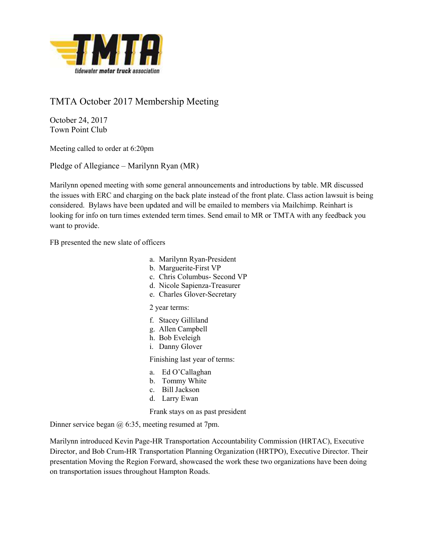

## TMTA October 2017 Membership Meeting

October 24, 2017 Town Point Club

Meeting called to order at 6:20pm

Pledge of Allegiance – Marilynn Ryan (MR)

Marilynn opened meeting with some general announcements and introductions by table. MR discussed the issues with ERC and charging on the back plate instead of the front plate. Class action lawsuit is being considered. Bylaws have been updated and will be emailed to members via Mailchimp. Reinhart is looking for info on turn times extended term times. Send email to MR or TMTA with any feedback you want to provide.

FB presented the new slate of officers

- a. Marilynn Ryan-President
- b. Marguerite-First VP
- c. Chris Columbus- Second VP
- d. Nicole Sapienza-Treasurer
- e. Charles Glover-Secretary

## 2 year terms:

- f. Stacey Gilliland
- g. Allen Campbell
- h. Bob Eveleigh
- i. Danny Glover

Finishing last year of terms:

- a. Ed O'Callaghan
- b. Tommy White
- c. Bill Jackson
- d. Larry Ewan

Frank stays on as past president

Dinner service began @ 6:35, meeting resumed at 7pm.

Marilynn introduced Kevin Page-HR Transportation Accountability Commission (HRTAC), Executive Director, and Bob Crum-HR Transportation Planning Organization (HRTPO), Executive Director. Their presentation Moving the Region Forward, showcased the work these two organizations have been doing on transportation issues throughout Hampton Roads.